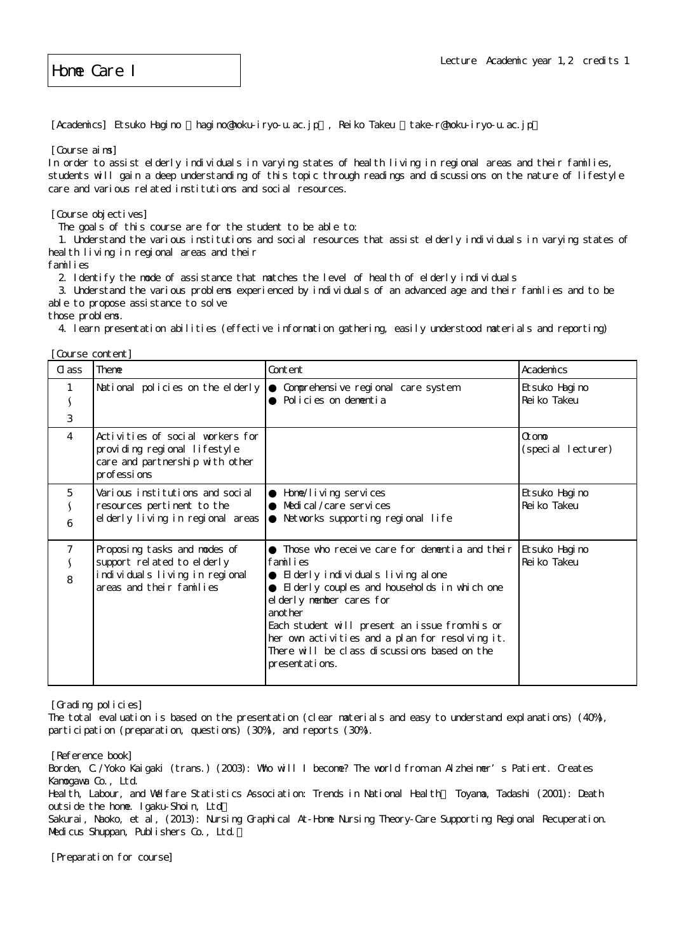Home Care I

[Academics] Etsuko Hagino hagino@hoku-iryo-u.ac.jp, Reiko Takeu take-r@hoku-iryo-u.ac.jp

[Course aims]

In order to assist elderly individuals in varying states of health living in regional areas and their families, students will gain a deep understanding of this topic through readings and discussions on the nature of lifestyle care and various related institutions and social resources.

[Course objectives]

The goals of this course are for the student to be able to:

 1. Understand the various institutions and social resources that assist elderly individuals in varying states of heal th living in regional areas and their

families

2. Identify the mode of assistance that matches the level of health of elderly individuals

 3. Understand the various problems experienced by individuals of an advanced age and their families and to be able to propose assistance to solve

those problems.

4. learn presentation abilities (effective information gathering, easily understood materials and reporting)

| Course content]     |                                                                                                                          |                                                                                                                                                                                                                                                                                                                                                                 |                                |
|---------------------|--------------------------------------------------------------------------------------------------------------------------|-----------------------------------------------------------------------------------------------------------------------------------------------------------------------------------------------------------------------------------------------------------------------------------------------------------------------------------------------------------------|--------------------------------|
| C ass               | <b>Theme</b>                                                                                                             | Content                                                                                                                                                                                                                                                                                                                                                         | Academics                      |
| $\lambda$<br>3      | National policies on the elderly                                                                                         | Comprehensive regional care system<br>Policies on dementia                                                                                                                                                                                                                                                                                                      | Etsuko Hagi no<br>Rei ko Takeu |
| $\overline{4}$      | Activities of social workers for<br>providing regional lifestyle<br>care and partnership with other<br>pr of essi ons    |                                                                                                                                                                                                                                                                                                                                                                 | Ot on to<br>(special lecturer) |
| 5<br>6              | Various institutions and social<br>resources pertinent to the<br>el derly living in regional areas                       | Home/I i vi ng servi ces<br>Medical / care services<br>Networks supporting regional life                                                                                                                                                                                                                                                                        | Etsuko Hagi no<br>Rei ko Takeu |
| $\overline{7}$<br>8 | Proposing tasks and modes of<br>support related to elderly<br>individuals living in regional<br>areas and their families | Those who receive care for dementia and their<br>families<br>El derly individuals living al one<br>El derly couples and households in which one<br>el derly member cares for<br>anot her<br>Each student will present an issue from his or<br>her own activities and a plan for resolving it.<br>There will be class discussions based on the<br>presentations. | Etsuko Hagi no<br>Rei ko Takeu |

[Grading policies]

The total evaluation is based on the presentation (clear materials and easy to understand explanations) (40%), participation (preparation, questions) (30%), and reports (30%).

[Reference book] Borden, C./Yoko Kaigaki (trans.) (2003): Who will I become? The world from an Alzheimer's Patient. Creates Kamogawa Co., Ltd. Health, Labour, and Welfare Statistics Association: Trends in National Health. Toyama, Tadashi (2001): Death outside the home. Igaku-Shoin, Ltd. Sakurai, Naoko, et al, (2013): Nursing Graphical At-Home Nursing Theory-Care Supporting Regional Recuperation. Medicus Shuppan, Publishers Co., Ltd.

[Preparation for course]